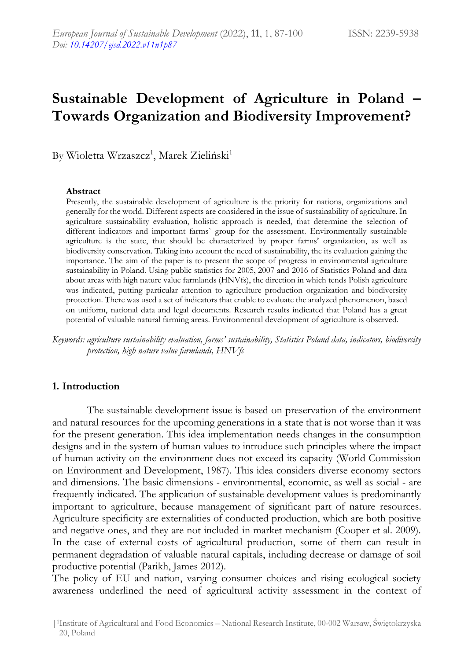# **Sustainable Development of Agriculture in Poland – Towards Organization and Biodiversity Improvement?**

By Wioletta Wrzaszcz<sup>1</sup>, Marek Zieliński<sup>1</sup>

#### **Abstract**

Presently, the sustainable development of agriculture is the priority for nations, organizations and generally for the world. Different aspects are considered in the issue of sustainability of agriculture. In agriculture sustainability evaluation, holistic approach is needed, that determine the selection of different indicators and important farms` group for the assessment. Environmentally sustainable agriculture is the state, that should be characterized by proper farms' organization, as well as biodiversity conservation. Taking into account the need of sustainability, the its evaluation gaining the importance. The aim of the paper is to present the scope of progress in environmental agriculture sustainability in Poland. Using public statistics for 2005, 2007 and 2016 of Statistics Poland and data about areas with high nature value farmlands (HNVfs), the direction in which tends Polish agriculture was indicated, putting particular attention to agriculture production organization and biodiversity protection. There was used a set of indicators that enable to evaluate the analyzed phenomenon, based on uniform, national data and legal documents. Research results indicated that Poland has a great potential of valuable natural farming areas. Environmental development of agriculture is observed.

*Keywords: agriculture sustainability evaluation, farms' sustainability, Statistics Poland data, indicators, biodiversity protection, high nature value farmlands, HNVfs*

#### **1. Introduction**

The sustainable development issue is based on preservation of the environment and natural resources for the upcoming generations in a state that is not worse than it was for the present generation. This idea implementation needs changes in the consumption designs and in the system of human values to introduce such principles where the impact of human activity on the environment does not exceed its capacity (World Commission on Environment and Development, 1987). This idea considers diverse economy sectors and dimensions. The basic dimensions - environmental, economic, as well as social - are frequently indicated. The application of sustainable development values is predominantly important to agriculture, because management of significant part of nature resources. Agriculture specificity are externalities of conducted production, which are both positive and negative ones, and they are not included in market mechanism (Cooper et al. 2009). In the case of external costs of agricultural production, some of them can result in permanent degradation of valuable natural capitals, including decrease or damage of soil productive potential (Parikh, James 2012).

The policy of EU and nation, varying consumer choices and rising ecological society awareness underlined the need of agricultural activity assessment in the context of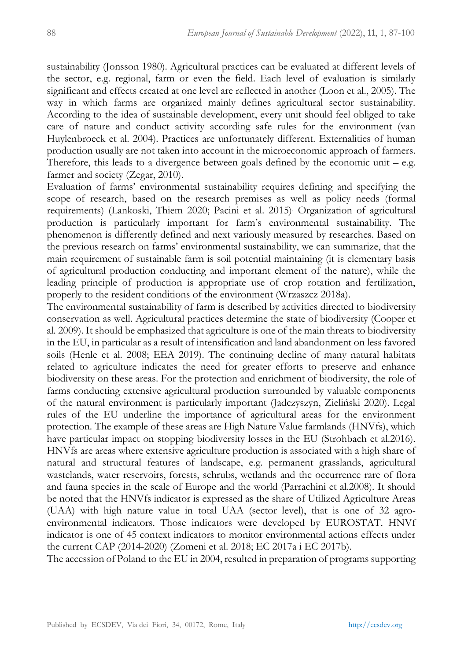sustainability (Jonsson 1980). Agricultural practices can be evaluated at different levels of the sector, e.g. regional, farm or even the field. Each level of evaluation is similarly significant and effects created at one level are reflected in another (Loon et al., 2005). The way in which farms are organized mainly defines agricultural sector sustainability. According to the idea of sustainable development, every unit should feel obliged to take care of nature and conduct activity according safe rules for the environment (van Huylenbroeck et al. 2004). Practices are unfortunately different. Externalities of human production usually are not taken into account in the microeconomic approach of farmers. Therefore, this leads to a divergence between goals defined by the economic unit  $-e.g.$ farmer and society (Zegar, 2010).

Evaluation of farms' environmental sustainability requires defining and specifying the scope of research, based on the research premises as well as policy needs (formal requirements) (Lankoski, Thiem 2020; Pacini et al. 2015). Organization of agricultural production is particularly important for farm's environmental sustainability. The phenomenon is differently defined and next variously measured by researches. Based on the previous research on farms' environmental sustainability, we can summarize, that the main requirement of sustainable farm is soil potential maintaining (it is elementary basis of agricultural production conducting and important element of the nature), while the leading principle of production is appropriate use of crop rotation and fertilization, properly to the resident conditions of the environment (Wrzaszcz 2018a).

The environmental sustainability of farm is described by activities directed to biodiversity conservation as well. Agricultural practices determine the state of biodiversity (Cooper et al. 2009). It should be emphasized that agriculture is one of the main threats to biodiversity in the EU, in particular as a result of intensification and land abandonment on less favored soils (Henle et al. 2008; EEA 2019). The continuing decline of many natural habitats related to agriculture indicates the need for greater efforts to preserve and enhance biodiversity on these areas. For the protection and enrichment of biodiversity, the role of farms conducting extensive agricultural production surrounded by valuable components of the natural environment is particularly important (Jadczyszyn, Zieliński 2020). Legal rules of the EU underline the importance of agricultural areas for the environment protection. The example of these areas are High Nature Value farmlands (HNVfs), which have particular impact on stopping biodiversity losses in the EU (Strohbach et al.2016). HNVfs are areas where extensive agriculture production is associated with a high share of natural and structural features of landscape, e.g. permanent grasslands, agricultural wastelands, water reservoirs, forests, schrubs, wetlands and the occurrence rare of flora and fauna species in the scale of Europe and the world (Parrachini et al.2008). It should be noted that the HNVfs indicator is expressed as the share of Utilized Agriculture Areas (UAA) with high nature value in total UAA (sector level), that is one of 32 agroenvironmental indicators. Those indicators were developed by EUROSTAT. HNVf indicator is one of 45 context indicators to monitor environmental actions effects under the current CAP (2014-2020) (Zomeni et al. 2018; EC 2017a i EC 2017b).

The accession of Poland to the EU in 2004, resulted in preparation of programs supporting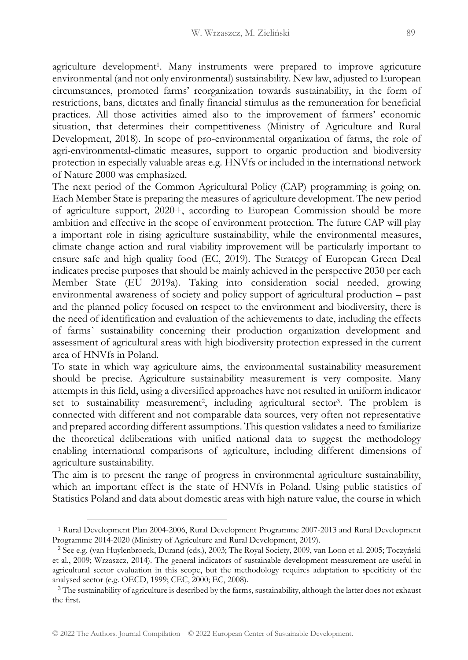agriculture development<sup>1</sup>. Many instruments were prepared to improve agricuture environmental (and not only environmental) sustainability. New law, adjusted to European circumstances, promoted farms' reorganization towards sustainability, in the form of restrictions, bans, dictates and finally financial stimulus as the remuneration for beneficial practices. All those activities aimed also to the improvement of farmers' economic situation, that determines their competitiveness (Ministry of Agriculture and Rural Development, 2018). In scope of pro-environmental organization of farms, the role of agri-environmental-climatic measures, support to organic production and biodiversity protection in especially valuable areas e.g. HNVfs or included in the international network of Nature 2000 was emphasized.

The next period of the Common Agricultural Policy (CAP) programming is going on. Each Member State is preparing the measures of agriculture development. The new period of agriculture support, 2020+, according to European Commission should be more ambition and effective in the scope of environment protection. The future CAP will play a important role in rising agriculture sustainability, while the environmental measures, climate change action and rural viability improvement will be particularly important to ensure safe and high quality food (EC, 2019). The Strategy of European Green Deal indicates precise purposes that should be mainly achieved in the perspective 2030 per each Member State (EU 2019a). Taking into consideration social needed, growing environmental awareness of society and policy support of agricultural production – past and the planned policy focused on respect to the environment and biodiversity, there is the need of identification and evaluation of the achievements to date, including the effects of farms` sustainability concerning their production organization development and assessment of agricultural areas with high biodiversity protection expressed in the current area of HNVfs in Poland.

To state in which way agriculture aims, the environmental sustainability measurement should be precise. Agriculture sustainability measurement is very composite. Many attempts in this field, using a diversified approaches have not resulted in uniform indicator set to sustainability measurement<sup>2</sup>, including agricultural sector<sup>3</sup>. The problem is connected with different and not comparable data sources, very often not representative and prepared according different assumptions. This question validates a need to familiarize the theoretical deliberations with unified national data to suggest the methodology enabling international comparisons of agriculture, including different dimensions of agriculture sustainability.

The aim is to present the range of progress in environmental agriculture sustainability, which an important effect is the state of HNVfs in Poland. Using public statistics of Statistics Poland and data about domestic areas with high nature value, the course in which

<sup>1</sup> Rural Development Plan 2004-2006, Rural Development Programme 2007-2013 and Rural Development Programme 2014-2020 (Ministry of Agriculture and Rural Development, 2019).

<sup>2</sup> See e.g. (van Huylenbroeck, Durand (eds.), 2003; The Royal Society, 2009, van Loon et al. 2005; Toczyński et al., 2009; Wrzaszcz, 2014). The general indicators of sustainable development measurement are useful in agricultural sector evaluation in this scope, but the methodology requires adaptation to specificity of the analysed sector (e.g. OECD, 1999; CEC, 2000; EC, 2008).

<sup>&</sup>lt;sup>3</sup> The sustainability of agriculture is described by the farms, sustainability, although the latter does not exhaust the first.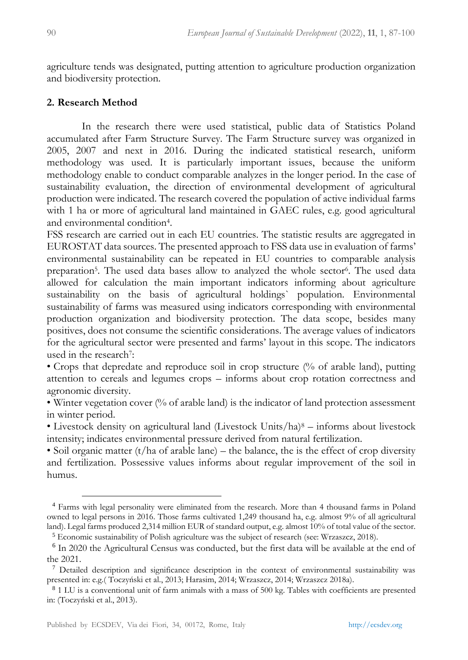agriculture tends was designated, putting attention to agriculture production organization and biodiversity protection.

## **2. Research Method**

In the research there were used statistical, public data of Statistics Poland accumulated after Farm Structure Survey. The Farm Structure survey was organized in 2005, 2007 and next in 2016. During the indicated statistical research, uniform methodology was used. It is particularly important issues, because the uniform methodology enable to conduct comparable analyzes in the longer period. In the case of sustainability evaluation, the direction of environmental development of agricultural production were indicated. The research covered the population of active individual farms with 1 ha or more of agricultural land maintained in GAEC rules, e.g. good agricultural and environmental condition<sup>4</sup>.

FSS research are carried out in each EU countries. The statistic results are aggregated in EUROSTAT data sources. The presented approach to FSS data use in evaluation of farms' environmental sustainability can be repeated in EU countries to comparable analysis preparation<sup>5</sup>. The used data bases allow to analyzed the whole sector<sup>6</sup>. The used data allowed for calculation the main important indicators informing about agriculture sustainability on the basis of agricultural holdings` population. Environmental sustainability of farms was measured using indicators corresponding with environmental production organization and biodiversity protection. The data scope, besides many positives, does not consume the scientific considerations. The average values of indicators for the agricultural sector were presented and farms' layout in this scope. The indicators used in the research<sup>7</sup>:

• Crops that depredate and reproduce soil in crop structure (% of arable land), putting attention to cereals and legumes crops – informs about crop rotation correctness and agronomic diversity.

• Winter vegetation cover (% of arable land) is the indicator of land protection assessment in winter period.

• Livestock density on agricultural land (Livestock Units/ha) $\delta$  – informs about livestock intensity; indicates environmental pressure derived from natural fertilization.

• Soil organic matter  $(t/ha$  of arable lane) – the balance, the is the effect of crop diversity and fertilization. Possessive values informs about regular improvement of the soil in humus.

<sup>4</sup> Farms with legal personality were eliminated from the research. More than 4 thousand farms in Poland owned to legal persons in 2016. Those farms cultivated 1,249 thousand ha, e.g. almost 9% of all agricultural land). Legal farms produced 2,314 million EUR of standard output, e.g. almost 10% of total value of the sector.

<sup>5</sup> Economic sustainability of Polish agriculture was the subject of research (see: Wrzaszcz, 2018).

<sup>&</sup>lt;sup>6</sup> In 2020 the Agricultural Census was conducted, but the first data will be available at the end of the 2021.

<sup>7</sup> Detailed description and significance description in the context of environmental sustainability was presented in: e.g.( Toczyński et al., 2013; Harasim, 2014; Wrzaszcz, 2014; Wrzaszcz 2018a).

<sup>8</sup> 1 LU is a conventional unit of farm animals with a mass of 500 kg. Tables with coefficients are presented in: (Toczyński et al., 2013).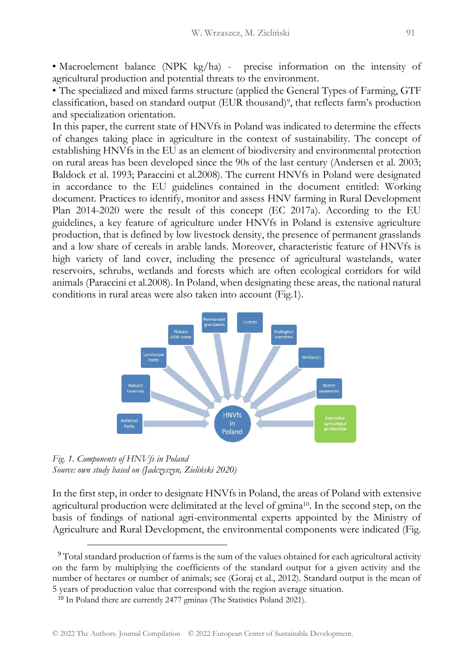• Macroelement balance (NPK kg/ha) - precise information on the intensity of agricultural production and potential threats to the environment.

• The specialized and mixed farms structure (applied the General Types of Farming, GTF classification, based on standard output (EUR thousand)<sup>9</sup>, that reflects farm's production and specialization orientation.

In this paper, the current state of HNVfs in Poland was indicated to determine the effects of changes taking place in agriculture in the context of sustainability. The concept of establishing HNVfs in the EU as an element of biodiversity and environmental protection on rural areas has been developed since the 90s of the last century (Andersen et al. 2003; Baldock et al. 1993; Paraccini et al.2008). The current HNVfs in Poland were designated in accordance to the EU guidelines contained in the document entitled: Working document. Practices to identify, monitor and assess HNV farming in Rural Development Plan 2014-2020 were the result of this concept (EC 2017a). According to the EU guidelines, a key feature of agriculture under HNVfs in Poland is extensive agriculture production, that is defined by low livestock density, the presence of permanent grasslands and a low share of cereals in arable lands. Moreover, characteristic feature of HNVfs is high variety of land cover, including the presence of agricultural wastelands, water reservoirs, schrubs, wetlands and forests which are often ecological corridors for wild animals (Paraccini et al.2008). In Poland, when designating these areas, the national natural conditions in rural areas were also taken into account (Fig.1).



*Fig. 1. Components of HNVfs in Poland Source: own study based on (Jadczyszyn, Zieliński 2020)*

In the first step, in order to designate HNVfs in Poland, the areas of Poland with extensive agricultural production were delimitated at the level of gmina10. In the second step, on the basis of findings of national agri-environmental experts appointed by the Ministry of Agriculture and Rural Development, the environmental components were indicated (Fig.

<sup>9</sup> Total standard production of farms is the sum of the values obtained for each agricultural activity on the farm by multiplying the coefficients of the standard output for a given activity and the number of hectares or number of animals; see (Goraj et al., 2012). Standard output is the mean of 5 years of production value that correspond with the region average situation.

<sup>&</sup>lt;sup>10</sup> In Poland there are currently 2477 gminas (The Statistics Poland 2021).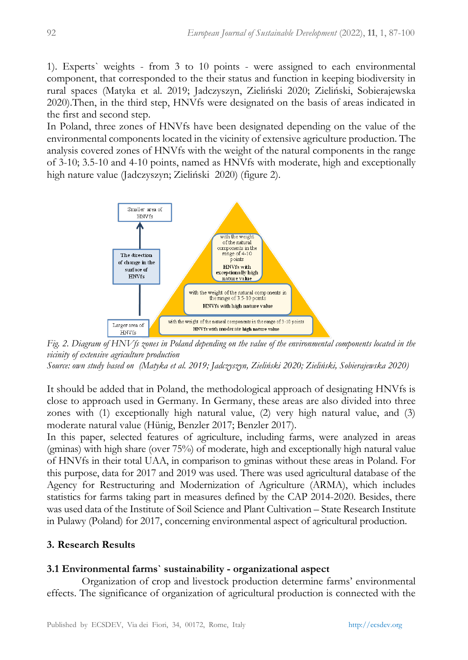1). Experts` weights - from 3 to 10 points - were assigned to each environmental component, that corresponded to the their status and function in keeping biodiversity in rural spaces (Matyka et al. 2019; Jadczyszyn, Zieliński 2020; Zieliński, Sobierajewska 2020).Then, in the third step, HNVfs were designated on the basis of areas indicated in the first and second step.

In Poland, three zones of HNVfs have been designated depending on the value of the environmental components located in the vicinity of extensive agriculture production. The analysis covered zones of HNVfs with the weight of the natural components in the range of 3-10; 3.5-10 and 4-10 points, named as HNVfs with moderate, high and exceptionally high nature value (Jadczyszyn; Zieliński 2020) (figure 2).



*Fig. 2. Diagram of HNVfs zones in Poland depending on the value of the environmental components located in the vicinity of extensive agriculture production Source: own study based on (Matyka et al. 2019; Jadczyszyn, Zieliński 2020; Zieliński, Sobierajewska 2020)*

It should be added that in Poland, the methodological approach of designating HNVfs is

close to approach used in Germany. In Germany, these areas are also divided into three zones with (1) exceptionally high natural value, (2) very high natural value, and (3) moderate natural value (Hünig, Benzler 2017; Benzler 2017).

In this paper, selected features of agriculture, including farms, were analyzed in areas (gminas) with high share (over 75%) of moderate, high and exceptionally high natural value of HNVfs in their total UAA, in comparison to gminas without these areas in Poland. For this purpose, data for 2017 and 2019 was used. There was used agricultural database of the Agency for Restructuring and Modernization of Agriculture (ARMA), which includes statistics for farms taking part in measures defined by the CAP 2014-2020. Besides, there was used data of the Institute of Soil Science and Plant Cultivation – State Research Institute in Pulawy (Poland) for 2017, concerning environmental aspect of agricultural production.

# **3. Research Results**

# **3.1 Environmental farms` sustainability - organizational aspect**

Organization of crop and livestock production determine farms' environmental effects. The significance of organization of agricultural production is connected with the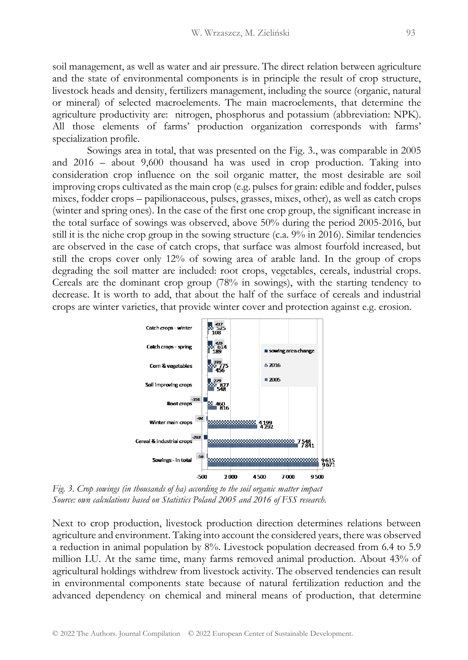soil management, as well as water and air pressure. The direct relation between agriculture and the state of environmental components is in principle the result of crop structure, livestock heads and density, fertilizers management, including the source (organic, natural or mineral) of selected macroelements. The main macroelements, that determine the agriculture productivity are: nitrogen, phosphorus and potassium (abbreviation: NPK). All those elements of farms' production organization corresponds with farms' specialization profile.

Sowings area in total, that was presented on the Fig. 3., was comparable in 2005 and 2016 – about 9,600 thousand ha was used in crop production. Taking into consideration crop influence on the soil organic matter, the most desirable are soil improving crops cultivated as the main crop (e.g. pulses for grain: edible and fodder, pulses mixes, fodder crops – papilionaceous, pulses, grasses, mixes, other), as well as catch crops (winter and spring ones). In the case of the first one crop group, the significant increase in the total surface of sowings was observed, above 50% during the period 2005-2016, but still it is the niche crop group in the sowing structure (c.a. 9% in 2016). Similar tendencies are observed in the case of catch crops, that surface was almost fourfold increased, but still the crops cover only 12% of sowing area of arable land. In the group of crops degrading the soil matter are included: root crops, vegetables, cereals, industrial crops. Cereals are the dominant crop group (78% in sowings), with the starting tendency to decrease. It is worth to add, that about the half of the surface of cereals and industrial crops are winter varieties, that provide winter cover and protection against e.g. erosion.



*Fig. 3. Crop sowings (in thousands of ha) according to the soil organic matter impact Source: own calculations based on Statistics Poland 2005 and 2016 of FSS research.*

Next to crop production, livestock production direction determines relations between agriculture and environment. Taking into account the considered years, there was observed a reduction in animal population by 8%. Livestock population decreased from 6.4 to 5.9 million LU. At the same time, many farms removed animal production. About 43% of agricultural holdings withdrew from livestock activity. The observed tendencies can result in environmental components state because of natural fertilization reduction and the advanced dependency on chemical and mineral means of production, that determine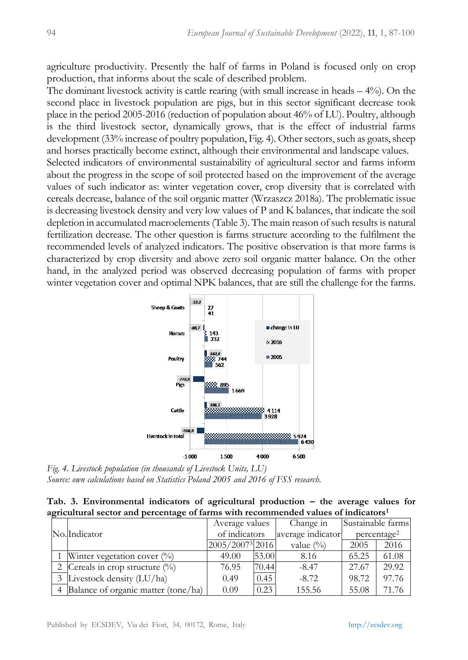agriculture productivity. Presently the half of farms in Poland is focused only on crop production, that informs about the scale of described problem.

The dominant livestock activity is cattle rearing (with small increase in heads  $-4\%$ ). On the second place in livestock population are pigs, but in this sector significant decrease took place in the period 2005-2016 (reduction of population about 46% of LU). Poultry, although is the third livestock sector, dynamically grows, that is the effect of industrial farms development (33% increase of poultry population, Fig. 4). Other sectors, such as goats, sheep and horses practically become extinct, although their environmental and landscape values.

Selected indicators of environmental sustainability of agricultural sector and farms inform about the progress in the scope of soil protected based on the improvement of the average values of such indicator as: winter vegetation cover, crop diversity that is correlated with cereals decrease, balance of the soil organic matter (Wrzaszcz 2018a). The problematic issue is decreasing livestock density and very low values of P and K balances, that indicate the soil depletion in accumulated macroelements (Table 3). The main reason of such results is natural fertilization decrease. The other question is farms structure according to the fulfilment the recommended levels of analyzed indicators. The positive observation is that more farms is characterized by crop diversity and above zero soil organic matter balance. On the other hand, in the analyzed period was observed decreasing population of farms with proper winter vegetation cover and optimal NPK balances, that are still the challenge for the farms.



*Fig. 4. Livestock population (in thousands of Livestock Units, LU) Source: own calculations based on Statistics Poland 2005 and 2016 of FSS research.*

|  |  |  | Tab. 3. Environmental indicators of agricultural production - the average values for           |  |  |  |
|--|--|--|------------------------------------------------------------------------------------------------|--|--|--|
|  |  |  | agricultural sector and percentage of farms with recommended values of indicators <sup>1</sup> |  |  |  |

|                                           | Average values              |       | Change in                         | Sustainable farms       |       |
|-------------------------------------------|-----------------------------|-------|-----------------------------------|-------------------------|-------|
| No. Indicator                             | of indicators               |       | average indicator                 | percentage <sup>2</sup> |       |
|                                           | 2005/2007 <sup>3</sup> 2016 |       | value $\frac{\gamma_0}{\gamma_0}$ | 2005                    | 2016  |
| Winter vegetation cover $(\%)$            | 49.00                       | 53.00 | 8.16                              | 65.25                   | 61.08 |
| 2 Cereals in crop structure $\frac{0}{0}$ | 76.95                       | 70.44 | $-8.47$                           | 27.67                   | 29.92 |
| 3 Livestock density (LU/ha)               | 0.49                        | 0.45  | $-8.72$                           | 98.72                   | 97.76 |
| 4 Balance of organic matter (tone/ha)     | 0.09                        | 0.23  | 155.56                            | 55.08                   | 71.76 |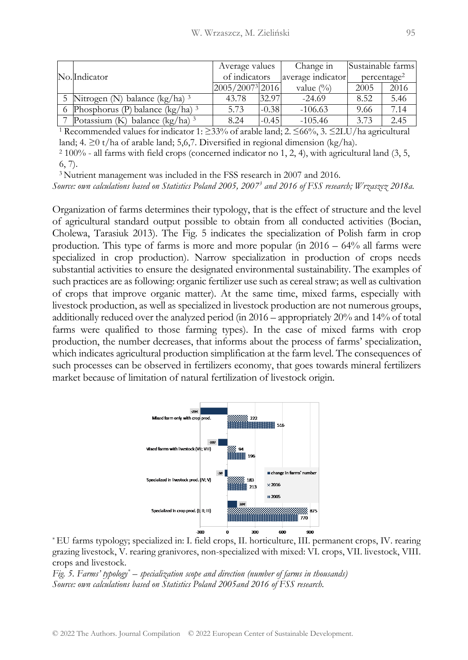|                                      | Average values  |         | Change in                         | Sustainable farms       |      |
|--------------------------------------|-----------------|---------|-----------------------------------|-------------------------|------|
| No.Indicator                         | of indicators   |         | average indicator                 | percentage <sup>2</sup> |      |
|                                      | 2005/20073 2016 |         | value $\frac{\gamma_0}{\gamma_0}$ | 2005                    | 2016 |
| 5 Nitrogen (N) balance (kg/ha) $3$   | 43.78           | 32.97   | $-24.69$                          | 8.52                    | 5.46 |
| 6 Phosphorus (P) balance (kg/ha) $3$ | 5.73            | $-0.38$ | $-106.63$                         | 9.66                    | 7.14 |
| Potassium (K) balance (kg/ha) $3$    | 8.24            | $-0.45$ | $-105.46$                         | 3.73                    | 2.45 |

<sup>1</sup> Recommended values for indicator 1:  $\geq$ 33% of arable land; 2.  $\leq$ 66%, 3.  $\leq$ 2LU/ha agricultural land; 4.  $\geq$ 0 t/ha of arable land; 5,6,7. Diversified in regional dimension (kg/ha).

<sup>2</sup> 100% - all farms with field crops (concerned indicator no 1, 2, 4), with agricultural land (3, 5, 6, 7).

<sup>3</sup>Nutrient management was included in the FSS research in 2007 and 2016.

*Source: own calculations based on Statistics Poland 2005, 2007<sup>3</sup> and 2016 of FSS research; Wrzaszcz 2018a.*

Organization of farms determines their typology, that is the effect of structure and the level of agricultural standard output possible to obtain from all conducted activities (Bocian, Cholewa, Tarasiuk 2013). The Fig. 5 indicates the specialization of Polish farm in crop production. This type of farms is more and more popular (in 2016 – 64% all farms were specialized in crop production). Narrow specialization in production of crops needs substantial activities to ensure the designated environmental sustainability. The examples of such practices are as following: organic fertilizer use such as cereal straw; as well as cultivation of crops that improve organic matter). At the same time, mixed farms, especially with livestock production, as well as specialized in livestock production are not numerous groups, additionally reduced over the analyzed period (in 2016 – appropriately 20% and 14% of total farms were qualified to those farming types). In the case of mixed farms with crop production, the number decreases, that informs about the process of farms' specialization, which indicates agricultural production simplification at the farm level. The consequences of such processes can be observed in fertilizers economy, that goes towards mineral fertilizers market because of limitation of natural fertilization of livestock origin.



\* EU farms typology; specialized in: I. field crops, II. horticulture, III. permanent crops, IV. rearing grazing livestock, V. rearing granivores, non-specialized with mixed: VI. crops, VII. livestock, VIII. crops and livestock.

*Fig. 5. Farms' typology\* – specialization scope and direction (number of farms in thousands) Source: own calculations based on Statistics Poland 2005and 2016 of FSS research.*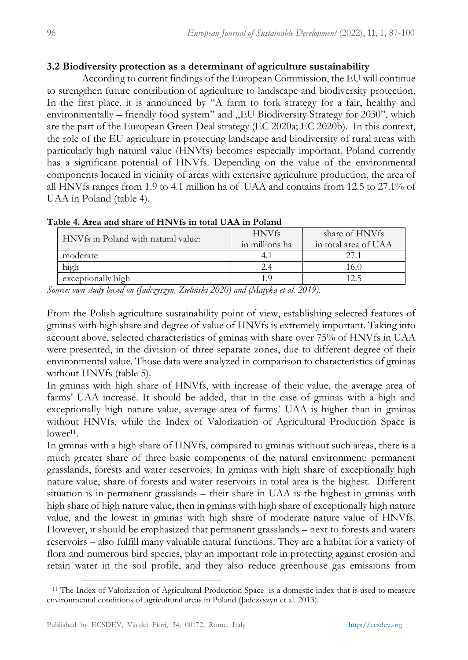### **3.2 Biodiversity protection as a determinant of agriculture sustainability**

According to current findings of the European Commission, the EU will continue to strengthen future contribution of agriculture to landscape and biodiversity protection. In the first place, it is announced by "A farm to fork strategy for a fair, healthy and environmentally – friendly food system" and "EU Biodiversity Strategy for 2030", which are the part of the European Green Deal strategy (EC 2020a; EC 2020b). In this context, the role of the EU agriculture in protecting landscape and biodiversity of rural areas with particularly high natural value (HNVfs) becomes especially important. Poland currently has a significant potential of HNVfs. Depending on the value of the environmental components located in vicinity of areas with extensive agriculture production, the area of all HNVfs ranges from 1.9 to 4.1 million ha of UAA and contains from 12.5 to 27.1% of UAA in Poland (table 4).

| HNVfs in Poland with natural value: | <b>HNVfs</b>   | share of HNVfs<br>in total area of UAA |  |  |  |  |  |
|-------------------------------------|----------------|----------------------------------------|--|--|--|--|--|
|                                     | in millions ha |                                        |  |  |  |  |  |
| moderate                            |                | 27 1                                   |  |  |  |  |  |
| high                                |                | 16.0                                   |  |  |  |  |  |
| exceptionally high                  |                | 19 5                                   |  |  |  |  |  |
|                                     |                |                                        |  |  |  |  |  |

#### **Table 4. Area and share of HNVfs in total UAA in Poland**

*Source: own study based on (Jadczyszyn, Zieliński 2020) and (Matyka et al. 2019).*

From the Polish agriculture sustainability point of view, establishing selected features of gminas with high share and degree of value of HNVfs is extremely important. Taking into account above, selected characteristics of gminas with share over 75% of HNVfs in UAA were presented, in the division of three separate zones, due to different degree of their environmental value. Those data were analyzed in comparison to characteristics of gminas without HNVfs (table 5).

In gminas with high share of HNVfs, with increase of their value, the average area of farms' UAA increase. It should be added, that in the case of gminas with a high and exceptionally high nature value, average area of farms` UAA is higher than in gminas without HNVfs, while the Index of Valorization of Agricultural Production Space is  $lower^{11}.$ 

In gminas with a high share of HNVfs, compared to gminas without such areas, there is a much greater share of three basic components of the natural environment: permanent grasslands, forests and water reservoirs. In gminas with high share of exceptionally high nature value, share of forests and water reservoirs in total area is the highest. Different situation is in permanent grasslands – their share in UAA is the highest in gminas with high share of high nature value, then in gminas with high share of exceptionally high nature value, and the lowest in gminas with high share of moderate nature value of HNVfs. However, it should be emphasized that permanent grasslands – next to forests and waters reservoirs – also fulfill many valuable natural functions. They are a habitat for a variety of flora and numerous bird species, play an important role in protecting against erosion and retain water in the soil profile, and they also reduce greenhouse gas emissions from

<sup>&</sup>lt;sup>11</sup> The Index of Valorization of Agricultural Production Space is a domestic index that is used to measure environmental conditions of agricultural areas in Poland (Jadczyszyn et al. 2013).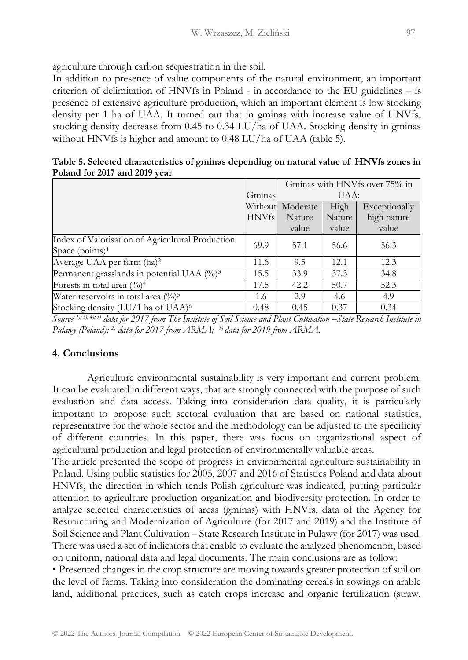agriculture through carbon sequestration in the soil.

In addition to presence of value components of the natural environment, an important criterion of delimitation of HNVfs in Poland - in accordance to the EU guidelines – is presence of extensive agriculture production, which an important element is low stocking density per 1 ha of UAA. It turned out that in gminas with increase value of HNVfs, stocking density decrease from 0.45 to 0.34 LU/ha of UAA. Stocking density in gminas without HNVfs is higher and amount to 0.48 LU/ha of UAA (table 5).

| Table 5. Selected characteristics of gminas depending on natural value of HNVfs zones in |  |
|------------------------------------------------------------------------------------------|--|
| Poland for 2017 and 2019 year                                                            |  |

|                                                        |              | Gminas with HNVfs over 75% in |        |               |  |  |
|--------------------------------------------------------|--------------|-------------------------------|--------|---------------|--|--|
|                                                        | Gminas       | UAA:                          |        |               |  |  |
|                                                        |              | Without Moderate              | High   | Exceptionally |  |  |
|                                                        | <b>HNVfs</b> | Nature                        | Nature | high nature   |  |  |
|                                                        |              | value                         | value  | value         |  |  |
| Index of Valorisation of Agricultural Production       | 69.9         | 57.1                          | 56.6   | 56.3          |  |  |
| Space $(points)^1$                                     |              |                               |        |               |  |  |
| Average UAA per farm (ha) <sup>2</sup>                 | 11.6         | 9.5                           | 12.1   | 12.3          |  |  |
| Permanent grasslands in potential UAA (%) <sup>3</sup> | 15.5         | 33.9                          | 37.3   | 34.8          |  |  |
| Forests in total area $(\%)^4$                         | 17.5         | 42.2                          | 50.7   | 52.3          |  |  |
| Water reservoirs in total area (%) <sup>5</sup>        | 1.6          | 2.9                           | 4.6    | 4.9           |  |  |
| Stocking density (LU/1 ha of UAA) <sup>6</sup>         | 0.48         | 0.45                          | 0.37   | 0.34          |  |  |

*Source: 1); 3); 4); 5) data for 2017 from The Institute of Soil Science and Plant Cultivation –State Research Institute in Pulawy (Poland); 2) data for 2017 from ARMA; 5) data for 2019 from ARMA.* 

#### **4. Conclusions**

Agriculture environmental sustainability is very important and current problem. It can be evaluated in different ways, that are strongly connected with the purpose of such evaluation and data access. Taking into consideration data quality, it is particularly important to propose such sectoral evaluation that are based on national statistics, representative for the whole sector and the methodology can be adjusted to the specificity of different countries. In this paper, there was focus on organizational aspect of agricultural production and legal protection of environmentally valuable areas.

The article presented the scope of progress in environmental agriculture sustainability in Poland. Using public statistics for 2005, 2007 and 2016 of Statistics Poland and data about HNVfs, the direction in which tends Polish agriculture was indicated, putting particular attention to agriculture production organization and biodiversity protection. In order to analyze selected characteristics of areas (gminas) with HNVfs, data of the Agency for Restructuring and Modernization of Agriculture (for 2017 and 2019) and the Institute of Soil Science and Plant Cultivation – State Research Institute in Pulawy (for 2017) was used. There was used a set of indicators that enable to evaluate the analyzed phenomenon, based on uniform, national data and legal documents. The main conclusions are as follow:

• Presented changes in the crop structure are moving towards greater protection of soil on the level of farms. Taking into consideration the dominating cereals in sowings on arable land, additional practices, such as catch crops increase and organic fertilization (straw,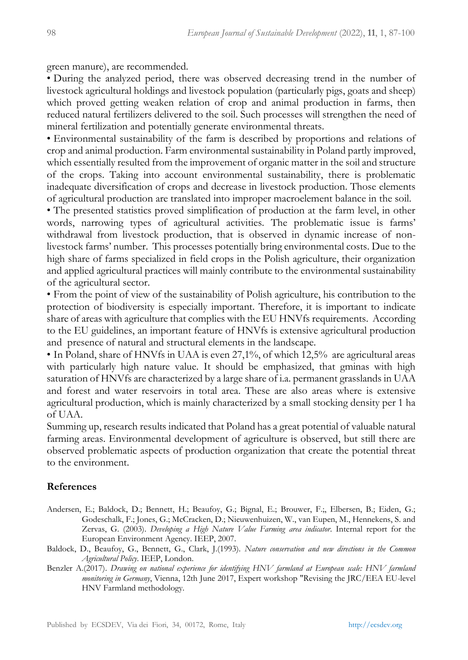green manure), are recommended.

• During the analyzed period, there was observed decreasing trend in the number of livestock agricultural holdings and livestock population (particularly pigs, goats and sheep) which proved getting weaken relation of crop and animal production in farms, then reduced natural fertilizers delivered to the soil. Such processes will strengthen the need of mineral fertilization and potentially generate environmental threats.

• Environmental sustainability of the farm is described by proportions and relations of crop and animal production. Farm environmental sustainability in Poland partly improved, which essentially resulted from the improvement of organic matter in the soil and structure of the crops. Taking into account environmental sustainability, there is problematic inadequate diversification of crops and decrease in livestock production. Those elements of agricultural production are translated into improper macroelement balance in the soil.

• The presented statistics proved simplification of production at the farm level, in other words, narrowing types of agricultural activities. The problematic issue is farms' withdrawal from livestock production, that is observed in dynamic increase of nonlivestock farms' number. This processes potentially bring environmental costs. Due to the high share of farms specialized in field crops in the Polish agriculture, their organization and applied agricultural practices will mainly contribute to the environmental sustainability of the agricultural sector.

• From the point of view of the sustainability of Polish agriculture, his contribution to the protection of biodiversity is especially important. Therefore, it is important to indicate share of areas with agriculture that complies with the EU HNVfs requirements. According to the EU guidelines, an important feature of HNVfs is extensive agricultural production and presence of natural and structural elements in the landscape.

• In Poland, share of HNVfs in UAA is even 27,1%, of which 12,5% are agricultural areas with particularly high nature value. It should be emphasized, that gminas with high saturation of HNVfs are characterized by a large share of i.a. permanent grasslands in UAA and forest and water reservoirs in total area. These are also areas where is extensive agricultural production, which is mainly characterized by a small stocking density per 1 ha of UAA.

Summing up, research results indicated that Poland has a great potential of valuable natural farming areas. Environmental development of agriculture is observed, but still there are observed problematic aspects of production organization that create the potential threat to the environment.

# **References**

- Andersen, E.; Baldock, D.; Bennett, H.; Beaufoy, G.; Bignal, E.; Brouwer, F.;, Elbersen, B.; Eiden, G.; Godeschalk, F.; Jones, G.; McCracken, D.; Nieuwenhuizen, W., van Eupen, M., Hennekens, S. and Zervas, G. (2003). *Developing a High Nature Value Farming area indicator*. Internal report for the European Environment Agency. IEEP, 2007.
- Baldock, D., Beaufoy, G., Bennett, G., Clark, J.(1993). *Nature conservation and new directions in the Common Agricultural Policy*. IEEP, London.
- Benzler A.(2017). *Drawing on national experience for identifying HNV farmland at European scale: HNV farmland monitoring in Germany*, Vienna, 12th June 2017, Expert workshop "Revising the JRC/EEA EU-level HNV Farmland methodology.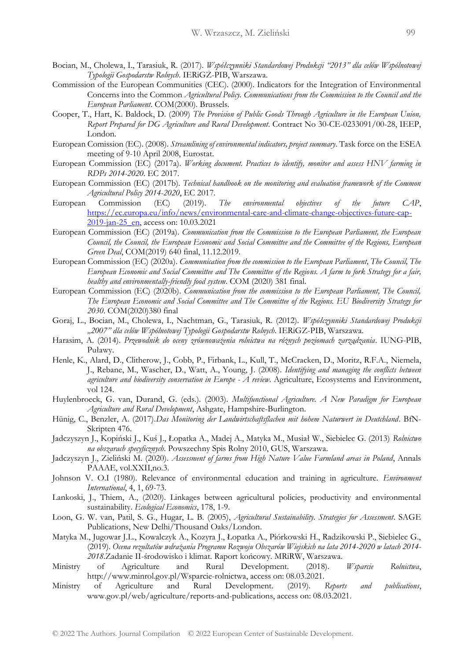- Bocian, M., Cholewa, I., Tarasiuk, R. (2017). *Współczynniki Standardowej Produkcji "2013" dla celów Wspólnotowej Typologii Gospodarstw Rolnych*. IERiGŻ-PIB, Warszawa.
- Commission of the European Communities (CEC). (2000). Indicators for the Integration of Environmental Concerns into the Common *Agricultural Policy. Communications from the Commission to the Council and the European Parliament*. COM(2000). Brussels.
- Cooper, T., Hart, K. Baldock, D. (2009) *The Provision of Public Goods Through Agriculture in the European Union, Report Prepared for DG Agriculture and Rural Development*. Contract No 30-CE-0233091/00-28, IEEP, London.
- European Comission (EC). (2008). *Streamlining of environmental indicators, project summary*. Task force on the ESEA meeting of 9-10 April 2008, Eurostat.
- European Commission (EC) (2017a). *Working document. Practices to identify, monitor and assess HNV farming in RDPs 2014-2020*. EC 2017.
- European Commission (EC) (2017b). *Technical handbook on the monitoring and evaluation framework of the Common Agricultural Policy 2014-2020*, EC 2017.
- European Commission (EC) (2019). *The environmental objectives of the future CAP*, [https://ec.europa.eu/info/news/environmental-care-and-climate-change-objectives-future-cap-](https://ec.europa.eu/info/news/environmental-care-and-climate-change-objectives-future-cap-2019-jan-25_en)[2019-jan-25\\_en,](https://ec.europa.eu/info/news/environmental-care-and-climate-change-objectives-future-cap-2019-jan-25_en) access on: 10.03.2021
- European Commission (EC) (2019a). *Communication from the Commission to the European Parliament, the European Council, the Council, the European Economic and Social Committee and the Committee of the Regions, European Green Deal*, COM(2019) 640 final, 11.12.2019.
- European Commission (EC) (2020a). *Communication from the commission to the European Parliament, The Council, The European Economic and Social Committee and The Committee of the Regions. A farm to fork Strategy for a fair, healthy and environmentally-friendly food system*. COM (2020) 381 final.
- European Commission (EC) (2020b). *Communication from the commission to the European Parliament, The Council, The European Economic and Social Committee and The Committee of the Regions. EU Biodiversity Strategy for 2030*. COM(2020)380 final
- Goraj, L., Bocian, M., Cholewa, I., Nachtman, G., Tarasiuk, R. (2012). *Współczynniki Standardowej Produkcji "2007" dla celów Wspólnotowej Typologii Gospodarstw Rolnych*. IERiGZ-PIB, Warszawa.
- Harasim, A. (2014). *Przewodnik do oceny zrównoważenia rolnictwa na różnych poziomach zarządzania*. IUNG-PIB, Puławy.
- Henle, K., Alard, D., Clitherow, J., Cobb, P., Firbank, L., Kull, T., McCracken, D., Moritz, R.F.A., Niemela, J., Rebane, M., Wascher, D., Watt, A., Young, J. (2008). *Identifying and managing the conflicts between agriculture and biodiversity conservation in Europe - A review*. Agriculture, Ecosystems and Environment, vol 124.
- Huylenbroeck, G. van, Durand, G. (eds.). (2003). *Multifunctional Agriculture. A New Paradigm for European Agriculture and Rural Development*, Ashgate, Hampshire-Burlington.
- Hünig, C., Benzler, A. (2017).*Das Monitoring der Landwirtschaftsflachen mit hohem Naturwert in Deutchland*. BfN-Skripten 476.
- Jadczyszyn J., Kopiński J., Kuś J., Łopatka A., Madej A., Matyka M., Musiał W., Siebielec G. (2013) *Rolnictwo na obszarach specyficznych*. Powszechny Spis Rolny 2010, GUS, Warszawa.
- Jadczyszyn J., Zieliński M. (2020). *Assessment of farms from High Nature Value Farmland areas in Poland*, Annals PAAAE, vol.XXII,no.3.
- Johnson V. O.I (1980). Relevance of environmental education and training in agriculture. *Environment International*, 4, 1, 69-73.
- Lankoski, J., Thiem, A., (2020). Linkages between agricultural policies, productivity and environmental sustainability. *Ecological Economics*, 178, 1-9.
- Loon, G. W. van, Patil, S. G., Hugar, L. B. (2005), *Agricultural Sustainability. Strategies for Assessment*. SAGE Publications, New Delhi/Thousand Oaks/London.
- Matyka M., Jugowar J.L., Kowalczyk A., Kozyra J., Łopatka A., Piórkowski H., Radzikowski P., Siebielec G., (2019). *Ocena rezultatów wdrażania Programu Rozwoju Obszarów Wiejskich na lata 2014-2020 w latach 2014- 2018*.Zadanie II-środowisko i klimat. Raport końcowy. MRiRW, Warszawa.
- Ministry of Agriculture and Rural Development. (2018). *Wsparcie Rolnictwa*, http://www.minrol.gov.pl/Wsparcie-rolnictwa, access on: 08.03.2021.
- Ministry of Agriculture and Rural Development. (2019). *Reports and publications*, www.gov.pl/web/agriculture/reports-and-publications, access on: 08.03.2021.